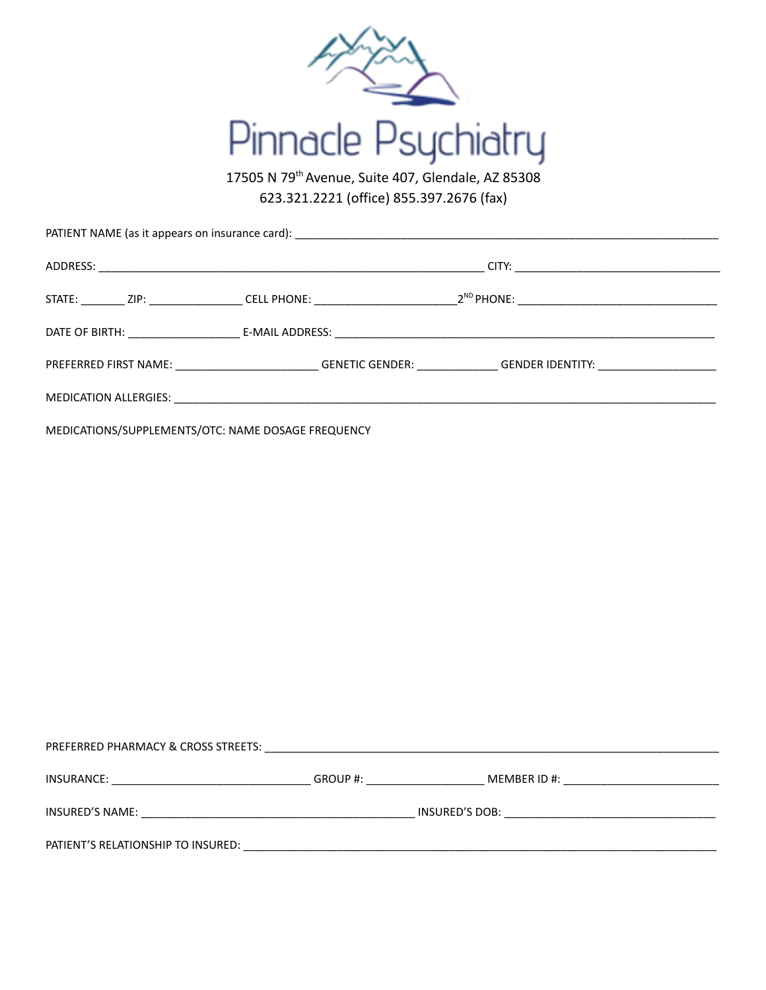

17505 N 79<sup>th</sup> Avenue, Suite 407, Glendale, AZ 85308 623.321.2221 (office) 855.397.2676 (fax)

|  |  | PREFERRED FIRST NAME: _________________________________GENETIC GENDER: _________________GENDER IDENTITY: _____ |  |  |
|--|--|----------------------------------------------------------------------------------------------------------------|--|--|
|  |  |                                                                                                                |  |  |

MEDICATIONS/SUPPLEMENTS/OTC: NAME DOSAGE FREQUENCY

| PREFERRED PHARMACY & CROSS STREETS: |          |                 |  |
|-------------------------------------|----------|-----------------|--|
| INSURANCE:                          | GROUP #: | MEMBER ID $#$ : |  |
| <b>INSURED'S NAME:</b>              |          | INSURED'S DOB:  |  |
| PATIENT'S RELATIONSHIP TO INSURED:  |          |                 |  |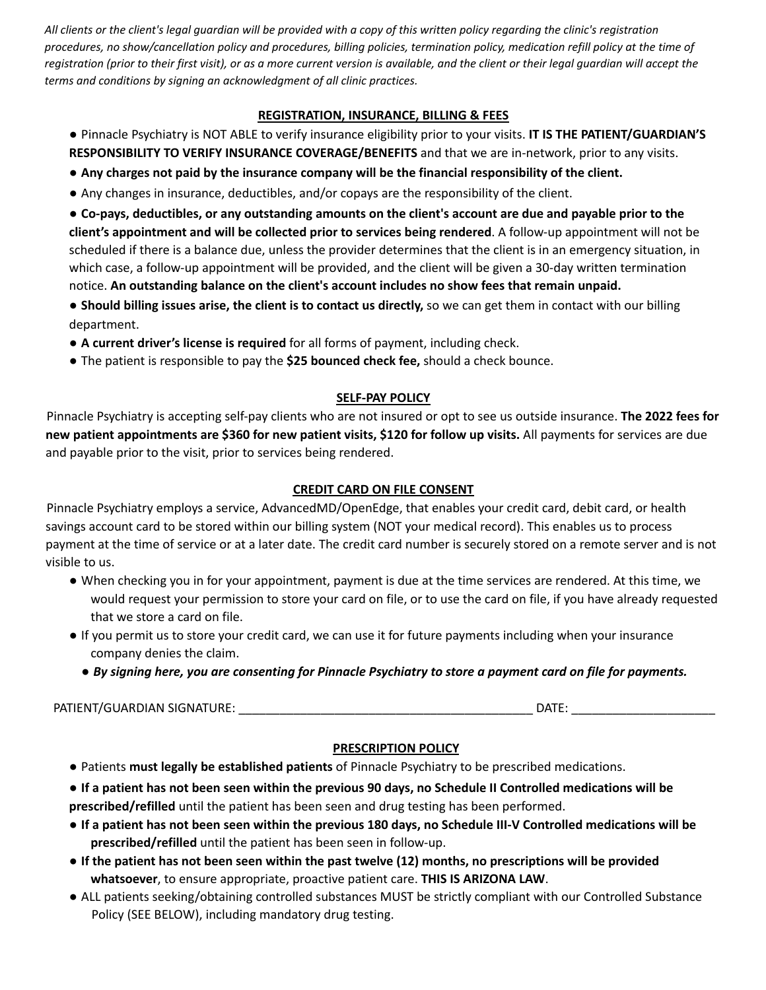All clients or the client's legal guardian will be provided with a copy of this written policy regarding the clinic's registration procedures, no show/cancellation policy and procedures, billing policies, termination policy, medication refill policy at the time of registration (prior to their first visit), or as a more current version is available, and the client or their legal guardian will accept the *terms and conditions by signing an acknowledgment of all clinic practices.*

## **REGISTRATION, INSURANCE, BILLING & FEES**

- Pinnacle Psychiatry is NOT ABLE to verify insurance eligibility prior to your visits. **IT IS THE PATIENT/GUARDIAN'S RESPONSIBILITY TO VERIFY INSURANCE COVERAGE/BENEFITS** and that we are in-network, prior to any visits.
- **Any charges not paid by the insurance company will be the financial responsibility of the client.**
- Any changes in insurance, deductibles, and/or copays are the responsibility of the client.

• Co-pays, deductibles, or any outstanding amounts on the client's account are due and payable prior to the **client's appointment and will be collected prior to services being rendered**. A follow-up appointment will not be scheduled if there is a balance due, unless the provider determines that the client is in an emergency situation, in which case, a follow-up appointment will be provided, and the client will be given a 30-day written termination notice. **An outstanding balance on the client's account includes no show fees that remain unpaid.**

- **● Should billing issues arise, the client is to contact us directly,** so we can get them in contact with our billing department.
- **● A current driver's license is required** for all forms of payment, including check.
- **●** The patient is responsible to pay the **\$25 bounced check fee,** should a check bounce.

## **SELF-PAY POLICY**

Pinnacle Psychiatry is accepting self-pay clients who are not insured or opt to see us outside insurance. **The 2022 fees for new patient appointments are \$360 for new patient visits, \$120 for follow up visits.** All payments for services are due and payable prior to the visit, prior to services being rendered.

## **CREDIT CARD ON FILE CONSENT**

Pinnacle Psychiatry employs a service, AdvancedMD/OpenEdge, that enables your credit card, debit card, or health savings account card to be stored within our billing system (NOT your medical record). This enables us to process payment at the time of service or at a later date. The credit card number is securely stored on a remote server and is not visible to us.

- When checking you in for your appointment, payment is due at the time services are rendered. At this time, we would request your permission to store your card on file, or to use the card on file, if you have already requested that we store a card on file.
- If you permit us to store your credit card, we can use it for future payments including when your insurance company denies the claim.
	- By signing here, you are consenting for Pinnacle Psychiatry to store a payment card on file for payments.

PATIENT/GUARDIAN SIGNATURE: \_\_\_\_\_\_\_\_\_\_\_\_\_\_\_\_\_\_\_\_\_\_\_\_\_\_\_\_\_\_\_\_\_\_\_\_\_\_\_\_\_\_\_ DATE: \_\_\_\_\_\_\_\_\_\_\_\_\_\_\_\_\_\_\_\_\_

# **PRESCRIPTION POLICY**

- Patients **must legally be established patients** of Pinnacle Psychiatry to be prescribed medications.
- If a patient has not been seen within the previous 90 days, no Schedule II Controlled medications will be
- **prescribed/refilled** until the patient has been seen and drug testing has been performed.
- If a patient has not been seen within the previous 180 days, no Schedule III-V Controlled medications will be **prescribed/refilled** until the patient has been seen in follow-up.
- If the patient has not been seen within the past twelve (12) months, no prescriptions will be provided **whatsoever**, to ensure appropriate, proactive patient care. **THIS IS ARIZONA LAW**.
- ALL patients seeking/obtaining controlled substances MUST be strictly compliant with our Controlled Substance Policy (SEE BELOW), including mandatory drug testing.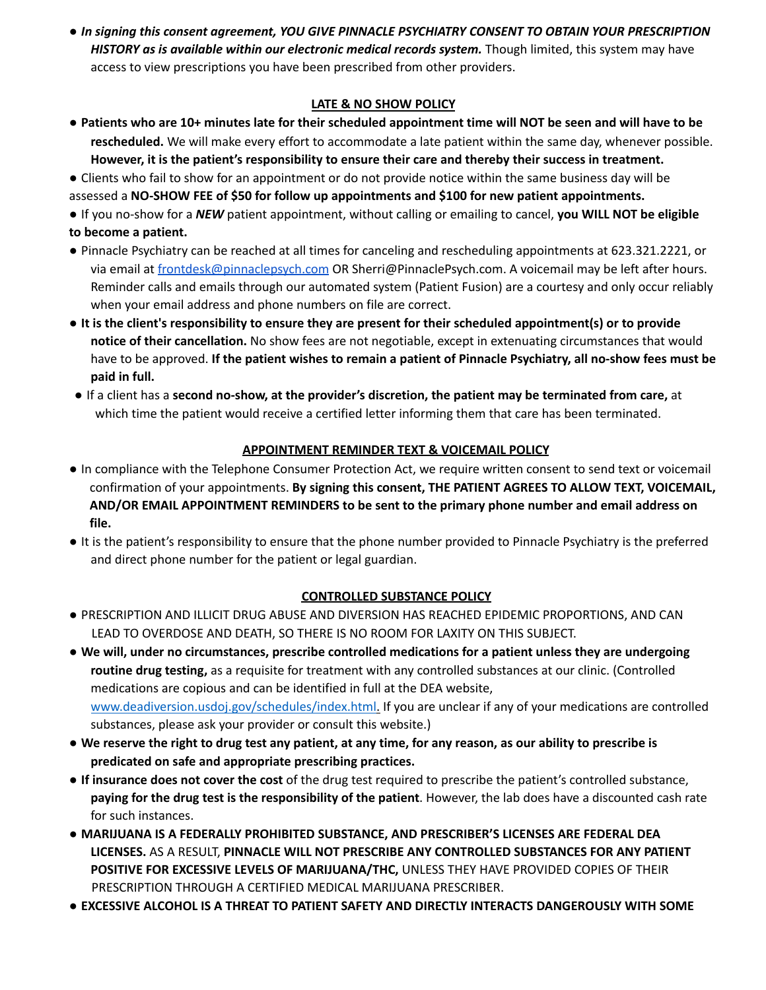*● In signing this consent agreement, YOU GIVE PINNACLE PSYCHIATRY CONSENT TO OBTAIN YOUR PRESCRIPTION HISTORY as is available within our electronic medical records system.* Though limited, this system may have access to view prescriptions you have been prescribed from other providers.

## **LATE & NO SHOW POLICY**

- . Patients who are 10+ minutes late for their scheduled appointment time will NOT be seen and will have to be **rescheduled.** We will make every effort to accommodate a late patient within the same day, whenever possible. **However, it is the patient's responsibility to ensure their care and thereby their success in treatment.**
- Clients who fail to show for an appointment or do not provide notice within the same business day will be assessed a **NO-SHOW FEE of \$50 for follow up appointments and \$100 for new patient appointments.**

● If you no-show for a *NEW* patient appointment, without calling or emailing to cancel, **you WILL NOT be eligible to become a patient.**

- Pinnacle Psychiatry can be reached at all times for canceling and rescheduling appointments at 623.321.2221, or via email at [frontdesk@pinnaclepsych.com](mailto:frontdesk@pinnaclepsych.com) OR Sherri@PinnaclePsych.com. A voicemail may be left after hours. Reminder calls and emails through our automated system (Patient Fusion) are a courtesy and only occur reliably when your email address and phone numbers on file are correct.
- It is the client's responsibility to ensure they are present for their scheduled appointment(s) or to provide **notice of their cancellation.** No show fees are not negotiable, except in extenuating circumstances that would have to be approved. **If the patient wishes to remain a patient of Pinnacle Psychiatry, all no-show fees must be paid in full.**
- **●** If a client has a **second no-show, at the provider's discretion, the patient may be terminated from care,** at which time the patient would receive a certified letter informing them that care has been terminated.

## **APPOINTMENT REMINDER TEXT & VOICEMAIL POLICY**

- In compliance with the Telephone Consumer Protection Act, we require written consent to send text or voicemail confirmation of your appointments. **By signing this consent, THE PATIENT AGREES TO ALLOW TEXT, VOICEMAIL, AND/OR EMAIL APPOINTMENT REMINDERS to be sent to the primary phone number and email address on file.**
- It is the patient's responsibility to ensure that the phone number provided to Pinnacle Psychiatry is the preferred and direct phone number for the patient or legal guardian.

#### **CONTROLLED SUBSTANCE POLICY**

● PRESCRIPTION AND ILLICIT DRUG ABUSE AND DIVERSION HAS REACHED EPIDEMIC PROPORTIONS, AND CAN LEAD TO OVERDOSE AND DEATH, SO THERE IS NO ROOM FOR LAXITY ON THIS SUBJECT.

● **We will, under no circumstances, prescribe controlled medications for a patient unless they are undergoing routine drug testing,** as a requisite for treatment with any controlled substances at our clinic. (Controlled medications are copious and can be identified in full at the DEA website, www.deadiversion.usdoj.gov/schedules/index.html. If you are unclear if any of your medications are controlled substances, please ask your provider or consult this website.)

- We reserve the right to drug test any patient, at any time, for any reason, as our ability to prescribe is **predicated on safe and appropriate prescribing practices.**
- **If insurance does not cover the cost** of the drug test required to prescribe the patient's controlled substance, **paying for the drug test is the responsibility of the patient**. However, the lab does have a discounted cash rate for such instances.
- **MARIJUANA IS A FEDERALLY PROHIBITED SUBSTANCE, AND PRESCRIBER'S LICENSES ARE FEDERAL DEA LICENSES.** AS A RESULT, **PINNACLE WILL NOT PRESCRIBE ANY CONTROLLED SUBSTANCES FOR ANY PATIENT POSITIVE FOR EXCESSIVE LEVELS OF MARIJUANA/THC,** UNLESS THEY HAVE PROVIDED COPIES OF THEIR PRESCRIPTION THROUGH A CERTIFIED MEDICAL MARIJUANA PRESCRIBER.
- **EXCESSIVE ALCOHOL IS A THREAT TO PATIENT SAFETY AND DIRECTLY INTERACTS DANGEROUSLY WITH SOME**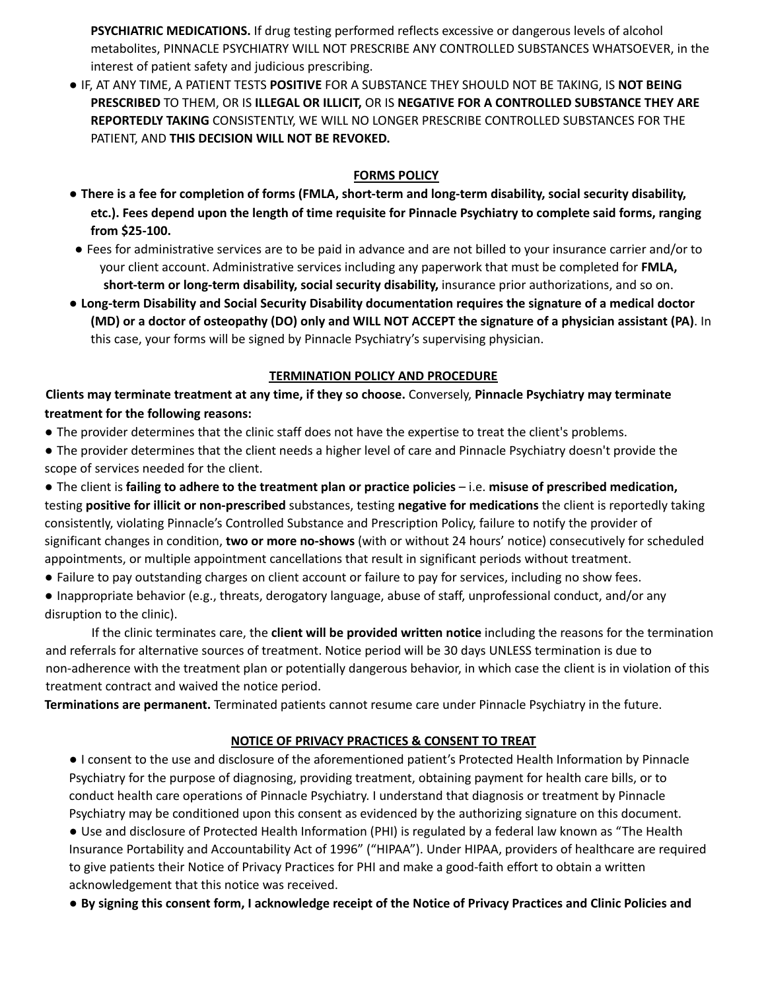**PSYCHIATRIC MEDICATIONS.** If drug testing performed reflects excessive or dangerous levels of alcohol metabolites, PINNACLE PSYCHIATRY WILL NOT PRESCRIBE ANY CONTROLLED SUBSTANCES WHATSOEVER, in the interest of patient safety and judicious prescribing.

**●** IF, AT ANY TIME, A PATIENT TESTS **POSITIVE** FOR A SUBSTANCE THEY SHOULD NOT BE TAKING, IS **NOT BEING PRESCRIBED** TO THEM, OR IS **ILLEGAL OR ILLICIT,** OR IS **NEGATIVE FOR A CONTROLLED SUBSTANCE THEY ARE REPORTEDLY TAKING** CONSISTENTLY, WE WILL NO LONGER PRESCRIBE CONTROLLED SUBSTANCES FOR THE PATIENT, AND **THIS DECISION WILL NOT BE REVOKED.**

## **FORMS POLICY**

- There is a fee for completion of forms (FMLA, short-term and long-term disability, social security disability, etc.). Fees depend upon the length of time requisite for Pinnacle Psychiatry to complete said forms, ranging **from \$25-100.**
- **●** Fees for administrative services are to be paid in advance and are not billed to your insurance carrier and/or to your client account. Administrative services including any paperwork that must be completed for **FMLA, short-term or long-term disability, social security disability,** insurance prior authorizations, and so on.
- **● Long-term Disability and Social Security Disability documentation requires the signature of a medical doctor** (MD) or a doctor of osteopathy (DO) only and WILL NOT ACCEPT the signature of a physician assistant (PA). In this case, your forms will be signed by Pinnacle Psychiatry's supervising physician.

## **TERMINATION POLICY AND PROCEDURE**

**Clients may terminate treatment at any time, if they so choose.** Conversely, **Pinnacle Psychiatry may terminate treatment for the following reasons:**

● The provider determines that the clinic staff does not have the expertise to treat the client's problems.

● The provider determines that the client needs a higher level of care and Pinnacle Psychiatry doesn't provide the scope of services needed for the client.

● The client is **failing to adhere to the treatment plan or practice policies** – i.e. **misuse of prescribed medication,** testing **positive for illicit or non-prescribed** substances, testing **negative for medications** the client is reportedly taking consistently, violating Pinnacle's Controlled Substance and Prescription Policy, failure to notify the provider of significant changes in condition, **two or more no-shows** (with or without 24 hours' notice) consecutively for scheduled appointments, or multiple appointment cancellations that result in significant periods without treatment.

● Failure to pay outstanding charges on client account or failure to pay for services, including no show fees.

● Inappropriate behavior (e.g., threats, derogatory language, abuse of staff, unprofessional conduct, and/or any disruption to the clinic).

If the clinic terminates care, the **client will be provided written notice** including the reasons for the termination and referrals for alternative sources of treatment. Notice period will be 30 days UNLESS termination is due to non-adherence with the treatment plan or potentially dangerous behavior, in which case the client is in violation of this treatment contract and waived the notice period.

**Terminations are permanent.** Terminated patients cannot resume care under Pinnacle Psychiatry in the future.

# **NOTICE OF PRIVACY PRACTICES & CONSENT TO TREAT**

● I consent to the use and disclosure of the aforementioned patient's Protected Health Information by Pinnacle Psychiatry for the purpose of diagnosing, providing treatment, obtaining payment for health care bills, or to conduct health care operations of Pinnacle Psychiatry. I understand that diagnosis or treatment by Pinnacle Psychiatry may be conditioned upon this consent as evidenced by the authorizing signature on this document.

● Use and disclosure of Protected Health Information (PHI) is regulated by a federal law known as "The Health Insurance Portability and Accountability Act of 1996" ("HIPAA"). Under HIPAA, providers of healthcare are required to give patients their Notice of Privacy Practices for PHI and make a good-faith effort to obtain a written acknowledgement that this notice was received.

• By signing this consent form, I acknowledge receipt of the Notice of Privacy Practices and Clinic Policies and